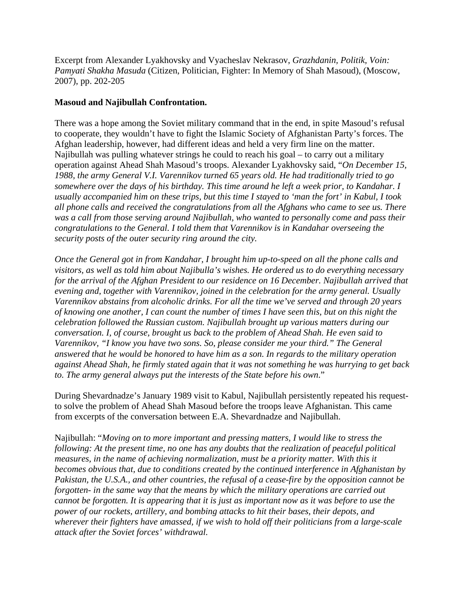Excerpt from Alexander Lyakhovsky and Vyacheslav Nekrasov, *Grazhdanin, Politik, Voin: Pamyati Shakha Masuda* (Citizen, Politician, Fighter: In Memory of Shah Masoud), (Moscow, 2007), pp. 202-205

## **Masoud and Najibullah Confrontation.**

There was a hope among the Soviet military command that in the end, in spite Masoud's refusal to cooperate, they wouldn't have to fight the Islamic Society of Afghanistan Party's forces. The Afghan leadership, however, had different ideas and held a very firm line on the matter. Najibullah was pulling whatever strings he could to reach his goal – to carry out a military operation against Ahead Shah Masoud's troops. Alexander Lyakhovsky said, "*On December 15, 1988, the army General V.I. Varennikov turned 65 years old. He had traditionally tried to go somewhere over the days of his birthday. This time around he left a week prior, to Kandahar. I usually accompanied him on these trips, but this time I stayed to 'man the fort' in Kabul, I took all phone calls and received the congratulations from all the Afghans who came to see us. There was a call from those serving around Najibullah, who wanted to personally come and pass their congratulations to the General. I told them that Varennikov is in Kandahar overseeing the security posts of the outer security ring around the city.* 

*Once the General got in from Kandahar, I brought him up-to-speed on all the phone calls and visitors, as well as told him about Najibulla's wishes. He ordered us to do everything necessary for the arrival of the Afghan President to our residence on 16 December. Najibullah arrived that evening and, together with Varennikov, joined in the celebration for the army general. Usually Varennikov abstains from alcoholic drinks. For all the time we've served and through 20 years of knowing one another, I can count the number of times I have seen this, but on this night the celebration followed the Russian custom. Najibullah brought up various matters during our conversation. I, of course, brought us back to the problem of Ahead Shah. He even said to Varennikov, "I know you have two sons. So, please consider me your third." The General answered that he would be honored to have him as a son. In regards to the military operation against Ahead Shah, he firmly stated again that it was not something he was hurrying to get back to. The army general always put the interests of the State before his own*."

During Shevardnadze's January 1989 visit to Kabul, Najibullah persistently repeated his requestto solve the problem of Ahead Shah Masoud before the troops leave Afghanistan. This came from excerpts of the conversation between E.A. Shevardnadze and Najibullah.

Najibullah: "*Moving on to more important and pressing matters, I would like to stress the following: At the present time, no one has any doubts that the realization of peaceful political measures, in the name of achieving normalization, must be a priority matter. With this it becomes obvious that, due to conditions created by the continued interference in Afghanistan by Pakistan, the U.S.A., and other countries, the refusal of a cease-fire by the opposition cannot be forgotten- in the same way that the means by which the military operations are carried out cannot be forgotten. It is appearing that it is just as important now as it was before to use the power of our rockets, artillery, and bombing attacks to hit their bases, their depots, and wherever their fighters have amassed, if we wish to hold off their politicians from a large-scale attack after the Soviet forces' withdrawal.*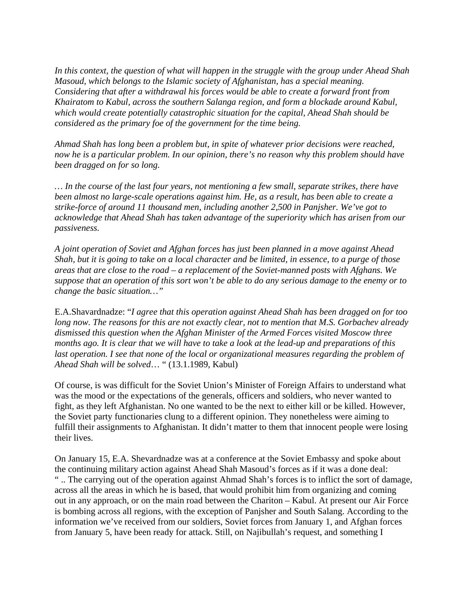*In this context, the question of what will happen in the struggle with the group under Ahead Shah Masoud, which belongs to the Islamic society of Afghanistan, has a special meaning. Considering that after a withdrawal his forces would be able to create a forward front from Khairatom to Kabul, across the southern Salanga region, and form a blockade around Kabul, which would create potentially catastrophic situation for the capital, Ahead Shah should be considered as the primary foe of the government for the time being.*

*Ahmad Shah has long been a problem but, in spite of whatever prior decisions were reached, now he is a particular problem. In our opinion, there's no reason why this problem should have been dragged on for so long.* 

*… In the course of the last four years, not mentioning a few small, separate strikes, there have been almost no large-scale operations against him. He, as a result, has been able to create a strike-force of around 11 thousand men, including another 2,500 in Panjsher. We've got to acknowledge that Ahead Shah has taken advantage of the superiority which has arisen from our passiveness.* 

*A joint operation of Soviet and Afghan forces has just been planned in a move against Ahead Shah, but it is going to take on a local character and be limited, in essence, to a purge of those areas that are close to the road – a replacement of the Soviet-manned posts with Afghans. We suppose that an operation of this sort won't be able to do any serious damage to the enemy or to change the basic situation…"*

E.A.Shavardnadze: "*I agree that this operation against Ahead Shah has been dragged on for too long now. The reasons for this are not exactly clear, not to mention that M.S. Gorbachev already dismissed this question when the Afghan Minister of the Armed Forces visited Moscow three months ago. It is clear that we will have to take a look at the lead-up and preparations of this*  last operation. I see that none of the local or organizational measures regarding the problem of *Ahead Shah will be solved*… " (13.1.1989, Kabul)

Of course, is was difficult for the Soviet Union's Minister of Foreign Affairs to understand what was the mood or the expectations of the generals, officers and soldiers, who never wanted to fight, as they left Afghanistan. No one wanted to be the next to either kill or be killed. However, the Soviet party functionaries clung to a different opinion. They nonetheless were aiming to fulfill their assignments to Afghanistan. It didn't matter to them that innocent people were losing their lives.

On January 15, E.A. Shevardnadze was at a conference at the Soviet Embassy and spoke about the continuing military action against Ahead Shah Masoud's forces as if it was a done deal: " .. The carrying out of the operation against Ahmad Shah's forces is to inflict the sort of damage, across all the areas in which he is based, that would prohibit him from organizing and coming out in any approach, or on the main road between the Chariton – Kabul. At present our Air Force is bombing across all regions, with the exception of Panjsher and South Salang. According to the information we've received from our soldiers, Soviet forces from January 1, and Afghan forces from January 5, have been ready for attack. Still, on Najibullah's request, and something I